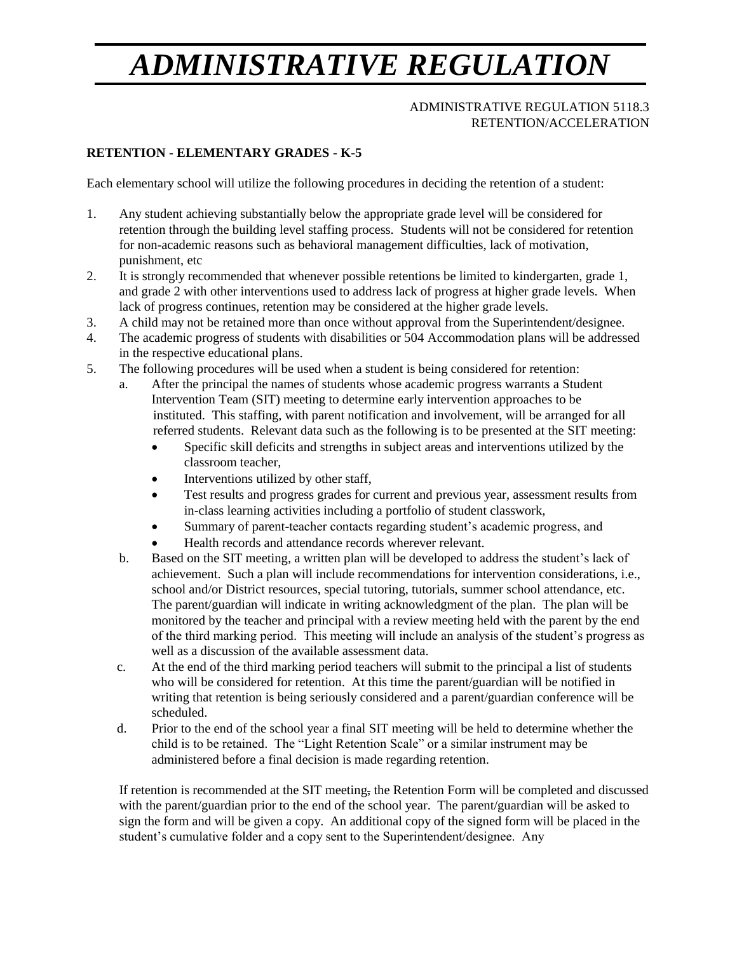# *ADMINISTRATIVE REGULATION*

#### ADMINISTRATIVE REGULATION 5118.3 RETENTION/ACCELERATION

# **RETENTION - ELEMENTARY GRADES - K-5**

Each elementary school will utilize the following procedures in deciding the retention of a student:

- 1. Any student achieving substantially below the appropriate grade level will be considered for retention through the building level staffing process. Students will not be considered for retention for non-academic reasons such as behavioral management difficulties, lack of motivation, punishment, etc
- 2. It is strongly recommended that whenever possible retentions be limited to kindergarten, grade 1, and grade 2 with other interventions used to address lack of progress at higher grade levels. When lack of progress continues, retention may be considered at the higher grade levels.
- 3. A child may not be retained more than once without approval from the Superintendent/designee.
- 4. The academic progress of students with disabilities or 504 Accommodation plans will be addressed in the respective educational plans.
- 5. The following procedures will be used when a student is being considered for retention:
	- a. After the principal the names of students whose academic progress warrants a StudentIntervention Team (SIT) meeting to determine early intervention approaches to be instituted. This staffing, with parent notification and involvement, will be arranged for all referred students. Relevant data such as the following is to be presented at the SIT meeting:
		- Specific skill deficits and strengths in subject areas and interventions utilized by the classroom teacher,
		- Interventions utilized by other staff,
		- Test results and progress grades for current and previous year, assessment results from in-class learning activities including a portfolio of student classwork,
		- Summary of parent-teacher contacts regarding student's academic progress, and
		- Health records and attendance records wherever relevant.
	- b. Based on the SIT meeting, a written plan will be developed to address the student's lack of achievement. Such a plan will include recommendations for intervention considerations, i.e., school and/or District resources, special tutoring, tutorials, summer school attendance, etc. The parent/guardian will indicate in writing acknowledgment of the plan. The plan will be monitored by the teacher and principal with a review meeting held with the parent by the end of the third marking period. This meeting will include an analysis of the student's progress as well as a discussion of the available assessment data.
	- c. At the end of the third marking period teachers will submit to the principal a list of students who will be considered for retention. At this time the parent/guardian will be notified in writing that retention is being seriously considered and a parent/guardian conference will be scheduled.
	- d. Prior to the end of the school year a final SIT meeting will be held to determine whether the child is to be retained. The "Light Retention Scale" or a similar instrument may be administered before a final decision is made regarding retention.

If retention is recommended at the SIT meeting, the Retention Form will be completed and discussed with the parent/guardian prior to the end of the school year. The parent/guardian will be asked to sign the form and will be given a copy. An additional copy of the signed form will be placed in the student's cumulative folder and a copy sent to the Superintendent/designee. Any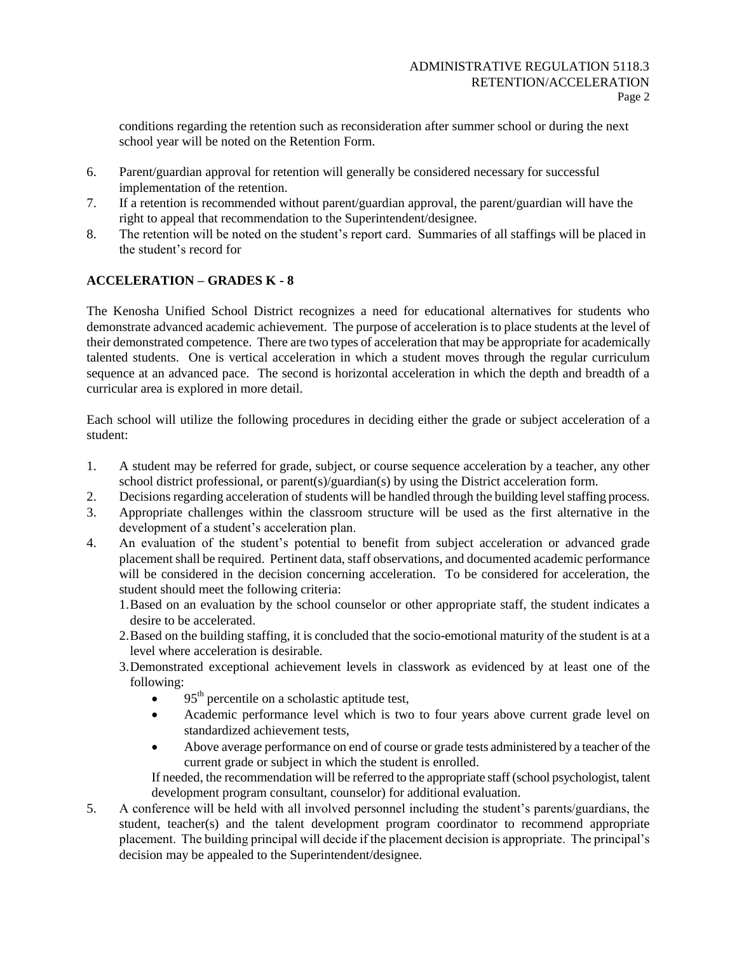conditions regarding the retention such as reconsideration after summer school or during the next school year will be noted on the Retention Form.

- 6. Parent/guardian approval for retention will generally be considered necessary for successful implementation of the retention.
- 7. If a retention is recommended without parent/guardian approval, the parent/guardian will have the right to appeal that recommendation to the Superintendent/designee.
- 8. The retention will be noted on the student's report card. Summaries of all staffings will be placed in the student's record for

## **ACCELERATION – GRADES K - 8**

The Kenosha Unified School District recognizes a need for educational alternatives for students who demonstrate advanced academic achievement. The purpose of acceleration is to place students at the level of their demonstrated competence. There are two types of acceleration that may be appropriate for academically talented students. One is vertical acceleration in which a student moves through the regular curriculum sequence at an advanced pace. The second is horizontal acceleration in which the depth and breadth of a curricular area is explored in more detail.

Each school will utilize the following procedures in deciding either the grade or subject acceleration of a student:

- 1. A student may be referred for grade, subject, or course sequence acceleration by a teacher, any other school district professional, or parent(s)/guardian(s) by using the District acceleration form.
- 2. Decisions regarding acceleration of students will be handled through the building level staffing process.
- 3. Appropriate challenges within the classroom structure will be used as the first alternative in the development of a student's acceleration plan.
- 4. An evaluation of the student's potential to benefit from subject acceleration or advanced grade placement shall be required. Pertinent data, staff observations, and documented academic performance will be considered in the decision concerning acceleration. To be considered for acceleration, the student should meet the following criteria:
	- 1.Based on an evaluation by the school counselor or other appropriate staff, the student indicates a desire to be accelerated.
	- 2.Based on the building staffing, it is concluded that the socio-emotional maturity of the student is at a level where acceleration is desirable.
	- 3.Demonstrated exceptional achievement levels in classwork as evidenced by at least one of the following:
		- 95<sup>th</sup> percentile on a scholastic aptitude test,
		- Academic performance level which is two to four years above current grade level on standardized achievement tests,
		- Above average performance on end of course or grade tests administered by a teacher of the current grade or subject in which the student is enrolled.

If needed, the recommendation will be referred to the appropriate staff (school psychologist, talent development program consultant, counselor) for additional evaluation.

5. A conference will be held with all involved personnel including the student's parents/guardians, the student, teacher(s) and the talent development program coordinator to recommend appropriate placement. The building principal will decide if the placement decision is appropriate. The principal's decision may be appealed to the Superintendent/designee.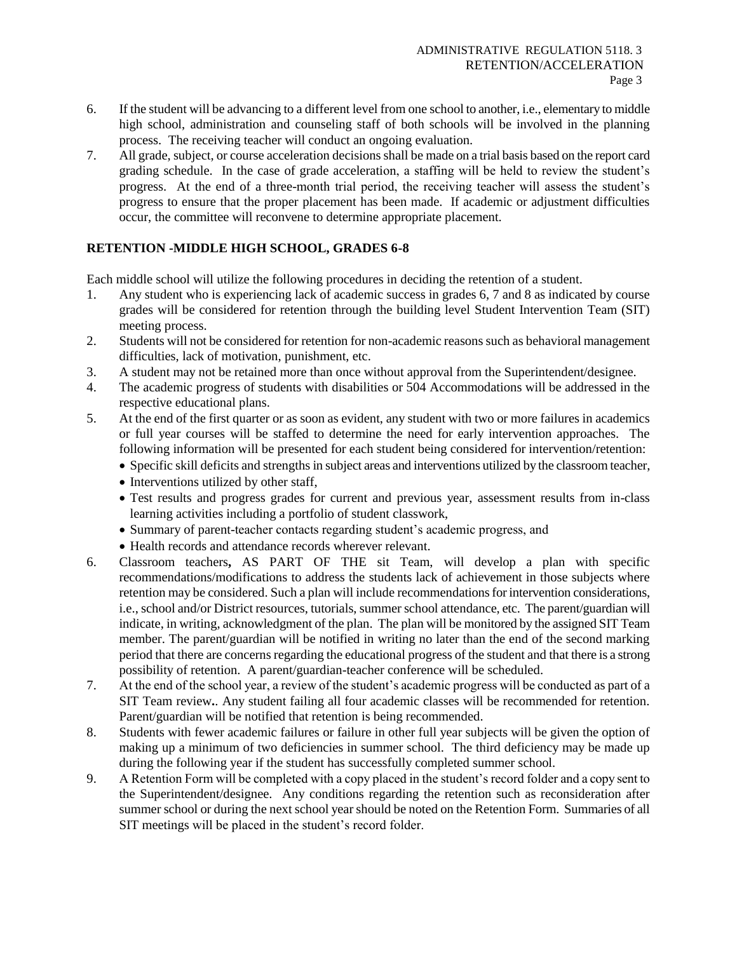- 6. If the student will be advancing to a different level from one school to another, i.e., elementary to middle high school, administration and counseling staff of both schools will be involved in the planning process. The receiving teacher will conduct an ongoing evaluation.
- 7. All grade, subject, or course acceleration decisions shall be made on a trial basis based on the report card grading schedule. In the case of grade acceleration, a staffing will be held to review the student's progress. At the end of a three-month trial period, the receiving teacher will assess the student's progress to ensure that the proper placement has been made. If academic or adjustment difficulties occur, the committee will reconvene to determine appropriate placement.

## **RETENTION -MIDDLE HIGH SCHOOL, GRADES 6-8**

Each middle school will utilize the following procedures in deciding the retention of a student.

- 1. Any student who is experiencing lack of academic success in grades 6, 7 and 8 as indicated by course grades will be considered for retention through the building level Student Intervention Team (SIT) meeting process.
- 2. Students will not be considered for retention for non-academic reasons such as behavioral management difficulties, lack of motivation, punishment, etc.
- 3. A student may not be retained more than once without approval from the Superintendent/designee.
- 4. The academic progress of students with disabilities or 504 Accommodations will be addressed in the respective educational plans.
- 5. At the end of the first quarter or as soon as evident, any student with two or more failures in academics or full year courses will be staffed to determine the need for early intervention approaches. The following information will be presented for each student being considered for intervention/retention:
	- Specific skill deficits and strengths in subject areas and interventions utilized by the classroom teacher,
	- Interventions utilized by other staff,
	- Test results and progress grades for current and previous year, assessment results from in-class learning activities including a portfolio of student classwork,
	- Summary of parent-teacher contacts regarding student's academic progress, and
	- Health records and attendance records wherever relevant.
- 6. Classroom teachers**,** AS PART OF THE sit Team, will develop a plan with specific recommendations/modifications to address the students lack of achievement in those subjects where retention may be considered. Such a plan will include recommendations for intervention considerations, i.e., school and/or District resources, tutorials, summer school attendance, etc. The parent/guardian will indicate, in writing, acknowledgment of the plan. The plan will be monitored by the assigned SIT Team member. The parent/guardian will be notified in writing no later than the end of the second marking period that there are concerns regarding the educational progress of the student and that there is a strong possibility of retention. A parent/guardian-teacher conference will be scheduled.
- 7. At the end of the school year, a review of the student's academic progress will be conducted as part of a SIT Team review**.**. Any student failing all four academic classes will be recommended for retention. Parent/guardian will be notified that retention is being recommended.
- 8. Students with fewer academic failures or failure in other full year subjects will be given the option of making up a minimum of two deficiencies in summer school. The third deficiency may be made up during the following year if the student has successfully completed summer school.
- 9. A Retention Form will be completed with a copy placed in the student's record folder and a copy sent to the Superintendent/designee. Any conditions regarding the retention such as reconsideration after summer school or during the next school year should be noted on the Retention Form. Summaries of all SIT meetings will be placed in the student's record folder.